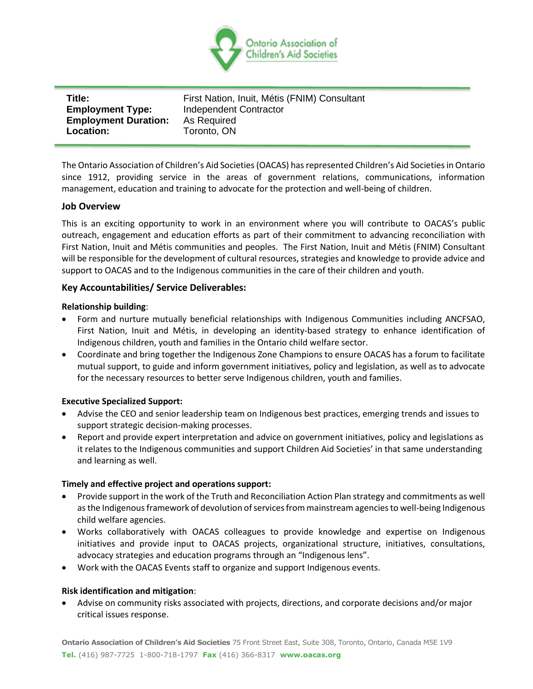

| Title:                      | First Nation, Inuit, Métis (FNIM) Consultant |
|-----------------------------|----------------------------------------------|
| <b>Employment Type:</b>     | Independent Contractor                       |
| <b>Employment Duration:</b> | As Required                                  |
| Location:                   | Toronto, ON                                  |
|                             |                                              |

The Ontario Association of Children's Aid Societies (OACAS) has represented Children's Aid Societies in Ontario since 1912, providing service in the areas of government relations, communications, information management, education and training to advocate for the protection and well-being of children.

## **Job Overview**

This is an exciting opportunity to work in an environment where you will contribute to OACAS's public outreach, engagement and education efforts as part of their commitment to advancing reconciliation with First Nation, Inuit and Métis communities and peoples. The First Nation, Inuit and Métis (FNIM) Consultant will be responsible for the development of cultural resources, strategies and knowledge to provide advice and support to OACAS and to the Indigenous communities in the care of their children and youth.

## **Key Accountabilities/ Service Deliverables:**

## **Relationship building**:

- Form and nurture mutually beneficial relationships with Indigenous Communities including ANCFSAO, First Nation, Inuit and Métis, in developing an identity-based strategy to enhance identification of Indigenous children, youth and families in the Ontario child welfare sector.
- Coordinate and bring together the Indigenous Zone Champions to ensure OACAS has a forum to facilitate mutual support, to guide and inform government initiatives, policy and legislation, as well as to advocate for the necessary resources to better serve Indigenous children, youth and families.

## **Executive Specialized Support:**

- Advise the CEO and senior leadership team on Indigenous best practices, emerging trends and issues to support strategic decision-making processes.
- Report and provide expert interpretation and advice on government initiatives, policy and legislations as it relates to the Indigenous communities and support Children Aid Societies' in that same understanding and learning as well.

## **Timely and effective project and operations support:**

- Provide support in the work of the Truth and Reconciliation Action Plan strategy and commitments as well as the Indigenous framework of devolution of services from mainstream agencies to well-being Indigenous child welfare agencies.
- Works collaboratively with OACAS colleagues to provide knowledge and expertise on Indigenous initiatives and provide input to OACAS projects, organizational structure, initiatives, consultations, advocacy strategies and education programs through an "Indigenous lens".
- Work with the OACAS Events staff to organize and support Indigenous events.

## **Risk identification and mitigation**:

• Advise on community risks associated with projects, directions, and corporate decisions and/or major critical issues response.